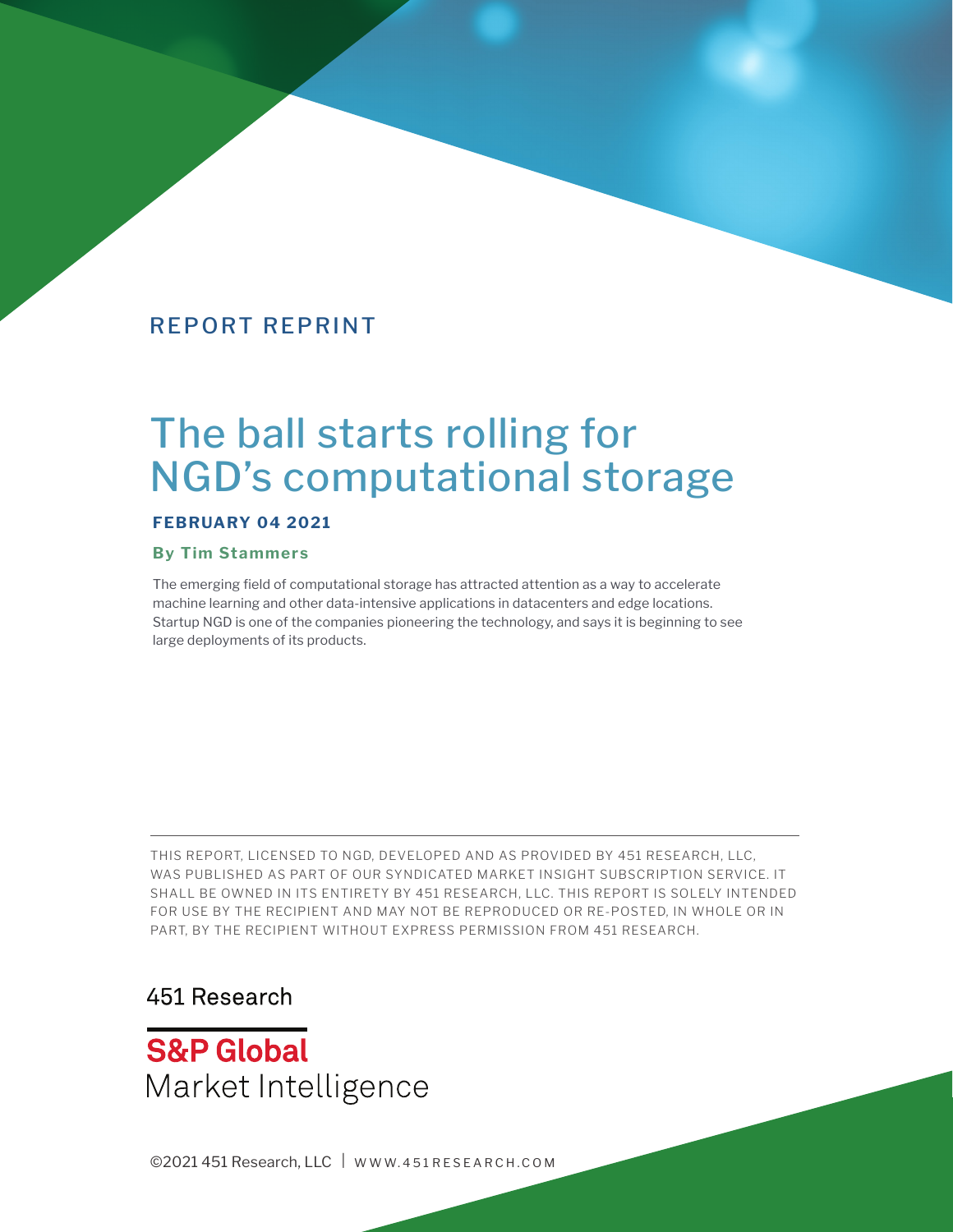# The ball starts rolling for NGD's computational storage

#### **FEBRUARY 04 2021**

#### **By Tim Stammers**

The emerging field of computational storage has attracted attention as a way to accelerate machine learning and other data-intensive applications in datacenters and edge locations. Startup NGD is one of the companies pioneering the technology, and says it is beginning to see large deployments of its products.

THIS REPORT, LICENSED TO NGD, DEVELOPED AND AS PROVIDED BY 451 RESEARCH, LLC, WAS PUBLISHED AS PART OF OUR SYNDICATED MARKET INSIGHT SUBSCRIPTION SERVICE. IT SHALL BE OWNED IN ITS ENTIRETY BY 451 RESEARCH, LLC. THIS REPORT IS SOLELY INTENDED FOR USE BY THE RECIPIENT AND MAY NOT BE REPRODUCED OR RE-POSTED, IN WHOLE OR IN PART, BY THE RECIPIENT WITHOUT EXPRESS PERMISSION FROM 451 RESEARCH.

# 451 Research

**S&P Global** Market Intelligence

©2021 451 Research, LLC | WWW.451 RESEARCH.COM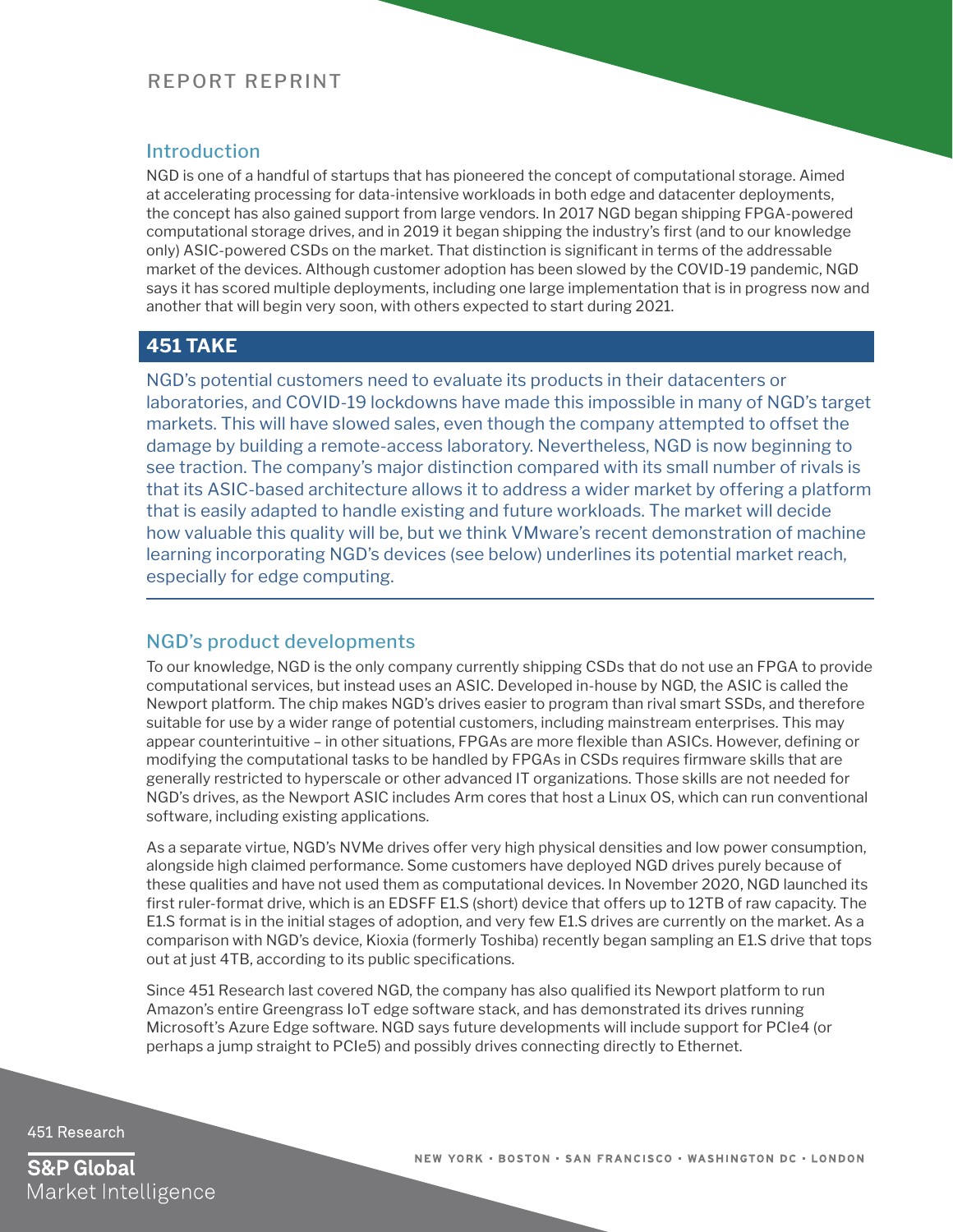#### **Introduction**

NGD is one of a handful of startups that has pioneered the concept of computational storage. Aimed at accelerating processing for data-intensive workloads in both edge and datacenter deployments, the concept has also gained support from large vendors. In 2017 NGD began shipping FPGA-powered computational storage drives, and in 2019 it began shipping the industry's first (and to our knowledge only) ASIC-powered CSDs on the market. That distinction is significant in terms of the addressable market of the devices. Although customer adoption has been slowed by the COVID-19 pandemic, NGD says it has scored multiple deployments, including one large implementation that is in progress now and another that will begin very soon, with others expected to start during 2021.

#### **451 TAKE**

NGD's potential customers need to evaluate its products in their datacenters or laboratories, and COVID-19 lockdowns have made this impossible in many of NGD's target markets. This will have slowed sales, even though the company attempted to offset the damage by building a remote-access laboratory. Nevertheless, NGD is now beginning to see traction. The company's major distinction compared with its small number of rivals is that its ASIC-based architecture allows it to address a wider market by offering a platform that is easily adapted to handle existing and future workloads. The market will decide how valuable this quality will be, but we think VMware's recent demonstration of machine learning incorporating NGD's devices (see below) underlines its potential market reach, especially for edge computing.

#### NGD's product developments

To our knowledge, NGD is the only company currently shipping CSDs that do not use an FPGA to provide computational services, but instead uses an ASIC. Developed in-house by NGD, the ASIC is called the Newport platform. The chip makes NGD's drives easier to program than rival smart SSDs, and therefore suitable for use by a wider range of potential customers, including mainstream enterprises. This may appear counterintuitive – in other situations, FPGAs are more flexible than ASICs. However, defining or modifying the computational tasks to be handled by FPGAs in CSDs requires firmware skills that are generally restricted to hyperscale or other advanced IT organizations. Those skills are not needed for NGD's drives, as the Newport ASIC includes Arm cores that host a Linux OS, which can run conventional software, including existing applications.

As a separate virtue, NGD's NVMe drives offer very high physical densities and low power consumption, alongside high claimed performance. Some customers have deployed NGD drives purely because of these qualities and have not used them as computational devices. In November 2020, NGD launched its first ruler-format drive, which is an EDSFF E1.S (short) device that offers up to 12TB of raw capacity. The E1.S format is in the initial stages of adoption, and very few E1.S drives are currently on the market. As a comparison with NGD's device, Kioxia (formerly Toshiba) recently began sampling an E1.S drive that tops out at just 4TB, according to its public specifications.

Since 451 Research last covered NGD, the company has also qualified its Newport platform to run Amazon's entire Greengrass IoT edge software stack, and has demonstrated its drives running Microsoft's Azure Edge software. NGD says future developments will include support for PCIe4 (or perhaps a jump straight to PCIe5) and possibly drives connecting directly to Ethernet.

451 Research

**S&P Global** Market Intelligence NEW YORK . BOSTON . SAN FRANCISCO . WASHINGTON DC . LONDON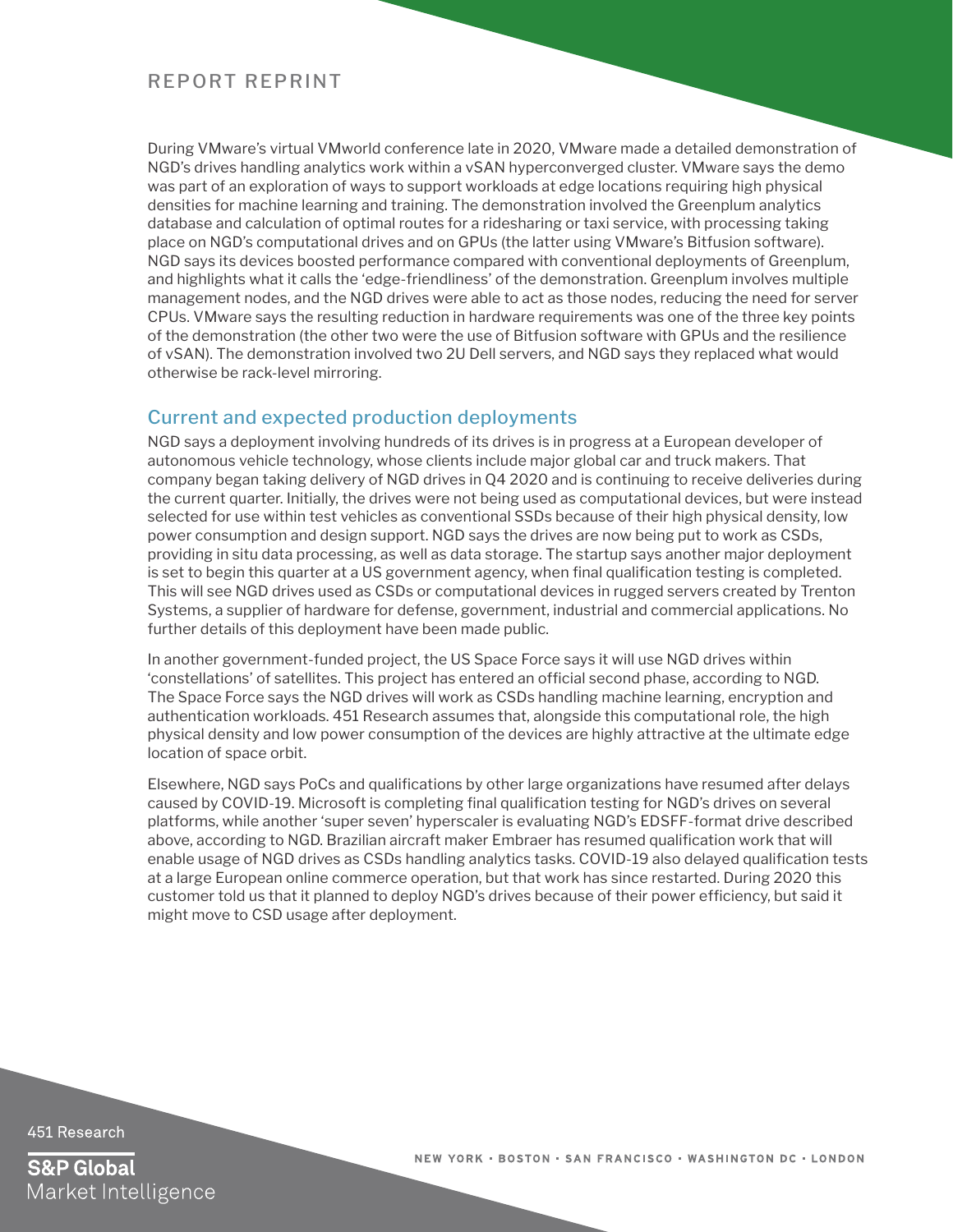During VMware's virtual VMworld conference late in 2020, VMware made a detailed demonstration of NGD's drives handling analytics work within a vSAN hyperconverged cluster. VMware says the demo was part of an exploration of ways to support workloads at edge locations requiring high physical densities for machine learning and training. The demonstration involved the Greenplum analytics database and calculation of optimal routes for a ridesharing or taxi service, with processing taking place on NGD's computational drives and on GPUs (the latter using VMware's Bitfusion software). NGD says its devices boosted performance compared with conventional deployments of Greenplum, and highlights what it calls the 'edge-friendliness' of the demonstration. Greenplum involves multiple management nodes, and the NGD drives were able to act as those nodes, reducing the need for server CPUs. VMware says the resulting reduction in hardware requirements was one of the three key points of the demonstration (the other two were the use of Bitfusion software with GPUs and the resilience of vSAN). The demonstration involved two 2U Dell servers, and NGD says they replaced what would otherwise be rack-level mirroring.

#### Current and expected production deployments

NGD says a deployment involving hundreds of its drives is in progress at a European developer of autonomous vehicle technology, whose clients include major global car and truck makers. That company began taking delivery of NGD drives in Q4 2020 and is continuing to receive deliveries during the current quarter. Initially, the drives were not being used as computational devices, but were instead selected for use within test vehicles as conventional SSDs because of their high physical density, low power consumption and design support. NGD says the drives are now being put to work as CSDs, providing in situ data processing, as well as data storage. The startup says another major deployment is set to begin this quarter at a US government agency, when final qualification testing is completed. This will see NGD drives used as CSDs or computational devices in rugged servers created by Trenton Systems, a supplier of hardware for defense, government, industrial and commercial applications. No further details of this deployment have been made public.

In another government-funded project, the US Space Force says it will use NGD drives within 'constellations' of satellites. This project has entered an official second phase, according to NGD. The Space Force says the NGD drives will work as CSDs handling machine learning, encryption and authentication workloads. 451 Research assumes that, alongside this computational role, the high physical density and low power consumption of the devices are highly attractive at the ultimate edge location of space orbit.

Elsewhere, NGD says PoCs and qualifications by other large organizations have resumed after delays caused by COVID-19. Microsoft is completing final qualification testing for NGD's drives on several platforms, while another 'super seven' hyperscaler is evaluating NGD's EDSFF-format drive described above, according to NGD. Brazilian aircraft maker Embraer has resumed qualification work that will enable usage of NGD drives as CSDs handling analytics tasks. COVID-19 also delayed qualification tests at a large European online commerce operation, but that work has since restarted. During 2020 this customer told us that it planned to deploy NGD's drives because of their power efficiency, but said it might move to CSD usage after deployment.

451 Research

**S&P Global** Market Intelligence NEW YORK . BOSTON . SAN FRANCISCO . WASHINGTON DC . LONDON